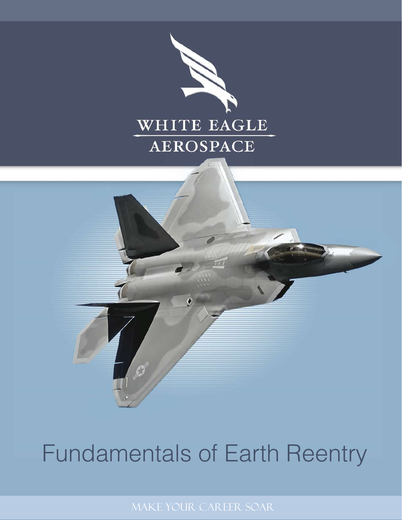

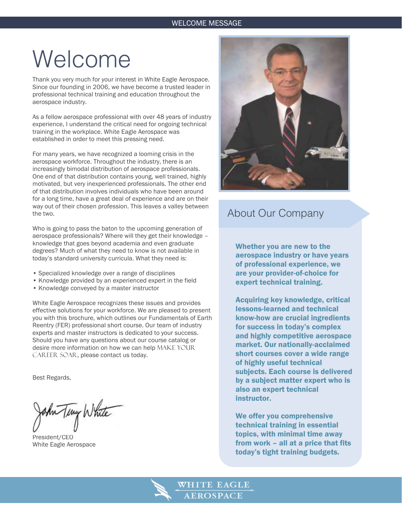## Welcome

Thank you very much for your interest in White Eagle Aerospace. Since our founding in 2006, we have become a trusted leader in professional technical training and education throughout the aerospace industry.

As a fellow aerospace professional with over 48 years of industry experience, I understand the critical need for ongoing technical training in the workplace. White Eagle Aerospace was established in order to meet this pressing need.

For many years, we have recognized a looming crisis in the aerospace workforce. Throughout the industry, there is an increasingly bimodal distribution of aerospace professionals. One end of that distribution contains young, well trained, highly motivated, but very inexperienced professionals. The other end of that distribution involves individuals who have been around for a long time, have a great deal of experience and are on their way out of their chosen profession. This leaves a valley between the two.

Who is going to pass the baton to the upcoming generation of aerospace professionals? Where will they get their knowledge – knowledge that goes beyond academia and even graduate degrees? Much of what they need to know is not available in today's standard university curricula. What they need is:

- Specialized knowledge over a range of disciplines
- Knowledge provided by an experienced expert in the field
- Knowledge conveyed by a master instructor

White Eagle Aerospace recognizes these issues and provides effective solutions for your workforce. We are pleased to present you with this brochure, which outlines our Fundamentals of Earth Reentry (FER) professional short course. Our team of industry experts and master instructors is dedicated to your success. Should you have any questions about our course catalog or desire more information on how we can help MAKE YOUR CAREER SOAR, please contact us today.

Best Regards,

An Teny White  $\mathsf{v}$   $\mathsf{v}$ 

President/CEO White Eagle Aerospace



### About Our Company

Whether you are new to the aerospace industry or have years of professional experience, we are your provider-of-choice for expert technical training.

Acquiring key knowledge, critical lessons-learned and technical know-how are crucial ingredients for success in today's complex and highly competitive aerospace market. Our nationally-acclaimed short courses cover a wide range of highly useful technical subjects. Each course is delivered by a subject matter expert who is also an expert technical instructor.

We offer you comprehensive technical training in essential topics, with minimal time away from work – all at a price that fits today's tight training budgets.

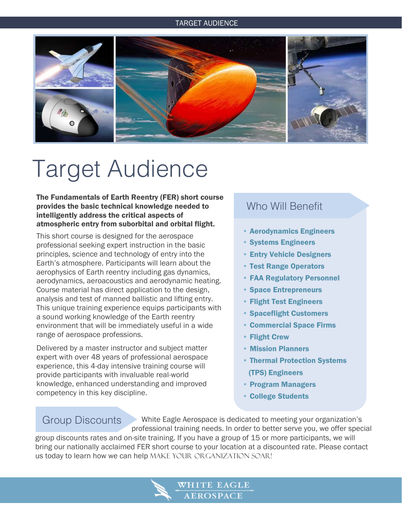#### TARGET AUDIENCE



# Target Audience

The Fundamentals of Earth Reentry (FER) short course provides the basic technical knowledge needed to intelligently address the critical aspects of atmospheric entry from suborbital and orbital flight.

This short course is designed for the aerospace professional seeking expert instruction in the basic principles, science and technology of entry into the Earth's atmosphere. Participants will learn about the aerophysics of Earth reentry including gas dynamics, aerodynamics, aeroacoustics and aerodynamic heating. Course material has direct application to the design, analysis and test of manned ballistic and lifting entry. This unique training experience equips participants with a sound working knowledge of the Earth reentry environment that will be immediately useful in a wide range of aerospace professions.

Delivered by a master instructor and subject matter expert with over 48 years of professional aerospace experience, this 4-day intensive training course will provide participants with invaluable real-world knowledge, enhanced understanding and improved competency in this key discipline.

### Who Will Benefit

- Aerodynamics Engineers
- Systems Engineers
- **Entry Vehicle Designers**
- Test Range Operators
- **FAA Regulatory Personnel**
- Space Entrepreneurs
- Flight Test Engineers
- Spaceflight Customers
- Commercial Space Firms
- **Flight Crew**
- **Mission Planners**
- Thermal Protection Systems (TPS) Engineers
- Program Managers
- **College Students**

## Group Discounts

i<br>I

 White Eagle Aerospace is dedicated to meeting your organization's professional training needs. In order to better serve you, we offer special

group discounts rates and on-site training. If you have a group of 15 or more participants, we will bring our nationally acclaimed FER short course to your location at a discounted rate. Please contact us today to learn how we can help MAKE YOUR ORGANIZATION SOAR!

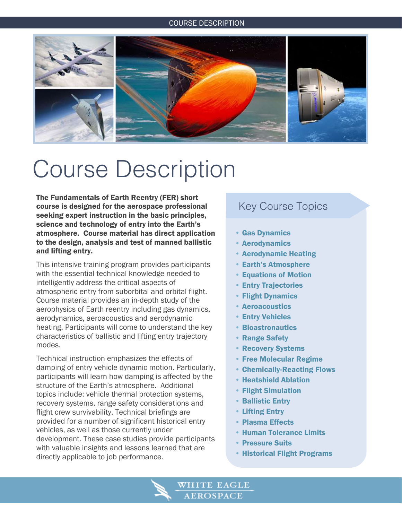#### COURSE DESCRIPTION



## Course Description

The Fundamentals of Earth Reentry (FER) short course is designed for the aerospace professional seeking expert instruction in the basic principles, science and technology of entry into the Earth's atmosphere. Course material has direct application to the design, analysis and test of manned ballistic and lifting entry.

This intensive training program provides participants with the essential technical knowledge needed to intelligently address the critical aspects of atmospheric entry from suborbital and orbital flight. Course material provides an in-depth study of the aerophysics of Earth reentry including gas dynamics, aerodynamics, aeroacoustics and aerodynamic heating. Participants will come to understand the key characteristics of ballistic and lifting entry trajectory modes.

Technical instruction emphasizes the effects of damping of entry vehicle dynamic motion. Particularly, participants will learn how damping is affected by the structure of the Earth's atmosphere. Additional topics include: vehicle thermal protection systems, recovery systems, range safety considerations and flight crew survivability. Technical briefings are provided for a number of significant historical entry vehicles, as well as those currently under development. These case studies provide participants with valuable insights and lessons learned that are directly applicable to job performance.

### Key Course Topics

- Gas Dynamics
- Aerodynamics
- Aerodynamic Heating
- Earth's Atmosphere
- Equations of Motion
- Entry Trajectories
- Flight Dynamics
- Aeroacoustics
- Entry Vehicles
- Bioastronautics
- Range Safety
- Recovery Systems
- Free Molecular Regime
- Chemically-Reacting Flows
- Heatshield Ablation
- Flight Simulation
- Ballistic Entry
- Lifting Entry
- Plasma Effects
- Human Tolerance Limits
- Pressure Suits
- Historical Flight Programs

VHITE EAGLE **AEROSPACE**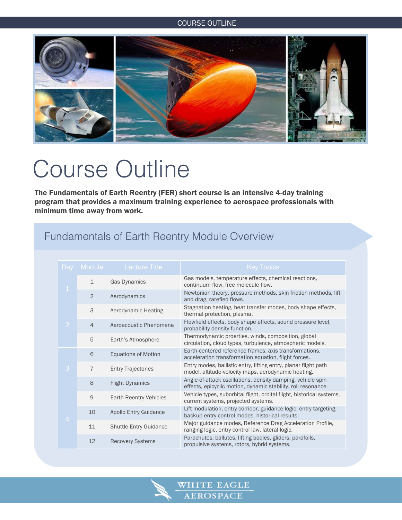#### COURSE OUTLINE

![](_page_4_Picture_1.jpeg)

# Course Outline

The Fundamentals of Earth Reentry (FER) short course is an intensive 4-day training program that provides a maximum training experience to aerospace professionals with minimum time away from work.

## Fundamentals of Earth Reentry Module Overview

| Day            | Module         | <b>Lecture Title</b>          | <b>Key Topics</b>                                                                                                            |
|----------------|----------------|-------------------------------|------------------------------------------------------------------------------------------------------------------------------|
| $\mathbf 1$    | $\mathbf{1}$   | <b>Gas Dynamics</b>           | Gas models, temperature effects, chemical reactions,<br>continuum flow, free molecule flow.                                  |
|                | $\overline{2}$ | Aerodynamics                  | Newtonian theory, pressure methods, skin friction methods, lift<br>and drag, rarefied flows.                                 |
| $\overline{2}$ | 3              | Aerodynamic Heating           | Stagnation heating, heat transfer modes, body shape effects,<br>thermal protection, plasma.                                  |
|                | $\overline{4}$ | Aeroacoustic Phenomena        | Flowfield effects, body shape effects, sound pressure level,<br>probability density function.                                |
|                | 5              | Earth's Atmosphere            | Thermodynamic proerties, winds, composition, global<br>circulation, cloud types, turbulence, atmospheric models.             |
| 3              | 6              | <b>Equations of Motion</b>    | Earth-centered reference frames, axis transformations,<br>acceleration transformation equation, flight forces.               |
|                | $\overline{7}$ | <b>Entry Trajectories</b>     | Entry modes, ballistic entry, lifting entry, planar flight path<br>model, altitude-velocity maps, aerodynamic heating.       |
|                | 8              | <b>Flight Dynamics</b>        | Angle-of-attack oscillations, density damping, vehicle spin<br>effects, epicyclic motion, dynamic stability, roll resonance. |
| $\overline{4}$ | 9              | <b>Earth Reentry Vehicles</b> | Vehicle types, suborbital flight, orbital flight, historical systems,<br>current systems, projected systems.                 |
|                | 10             | <b>Apollo Entry Guidance</b>  | Lift modulation, entry corridor, guidance logic, entry targeting,<br>backup entry control modes, historical results.         |
|                | 11             | <b>Shuttle Entry Guidance</b> | Major guidance modes, Reference Drag Acceleration Profile,<br>ranging logic, entry control law, lateral logic.               |
|                | 12             | <b>Recovery Systems</b>       | Parachutes, ballutes, lifting bodies, gliders, parafoils,<br>propulsive systems, rotors, hybrid systems.                     |

![](_page_4_Picture_6.jpeg)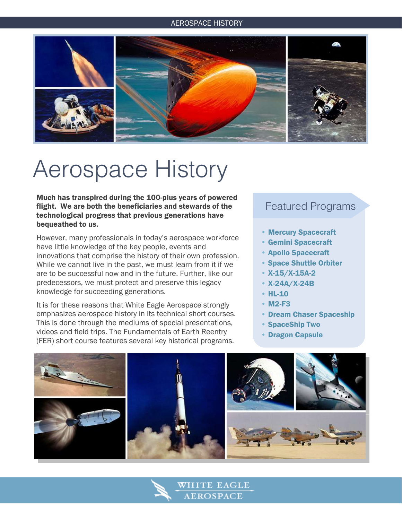#### AEROSPACE HISTORY

![](_page_5_Picture_1.jpeg)

## Aerospace History

Much has transpired during the 100-plus years of powered flight. We are both the beneficiaries and stewards of the technological progress that previous generations have bequeathed to us.

However, many professionals in today's aerospace workforce have little knowledge of the key people, events and innovations that comprise the history of their own profession. While we cannot live in the past, we must learn from it if we are to be successful now and in the future. Further, like our predecessors, we must protect and preserve this legacy knowledge for succeeding generations.

It is for these reasons that White Eagle Aerospace strongly emphasizes aerospace history in its technical short courses. This is done through the mediums of special presentations, videos and field trips. The Fundamentals of Earth Reentry (FER) short course features several key historical programs.

### Featured Programs

- Mercury Spacecraft
- Gemini Spacecraft
- Apollo Spacecraft
- Space Shuttle Orbiter
- X-15/X-15A-2
- X-24A/X-24B
- HL-10
- M2-F3
- Dream Chaser Spaceship
- SpaceShip Two
- Dragon Capsule

![](_page_5_Picture_18.jpeg)

WHITE EAGLE **AEROSPACE**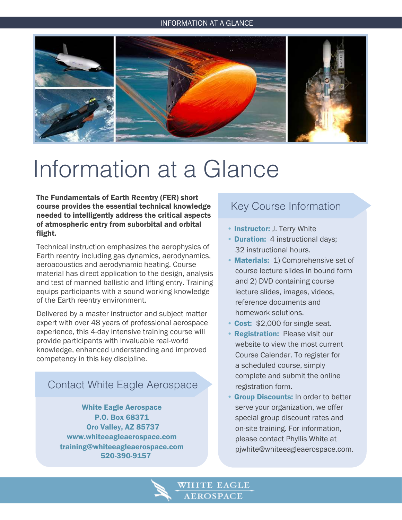#### INFORMATION AT A GLANCE INFORMATION AT A GLANCE

![](_page_6_Picture_1.jpeg)

## Information at a Glance

The Fundamentals of Earth Reentry (FER) short course provides the essential technical knowledge needed to intelligently address the critical aspects of atmospheric entry from suborbital and orbital flight.

Technical instruction emphasizes the aerophysics of Earth reentry including gas dynamics, aerodynamics, aeroacoustics and aerodynamic heating. Course material has direct application to the design, analysis and test of manned ballistic and lifting entry. Training equips participants with a sound working knowledge of the Earth reentry environment.

Delivered by a master instructor and subject matter expert with over 48 years of professional aerospace experience, this 4-day intensive training course will provide participants with invaluable real-world knowledge, enhanced understanding and improved competency in this key discipline.

### Contact White Eagle Aerospace

White Eagle Aerospace P.O. Box 68371 Oro Valley, AZ 85737 www.whiteeagleaerospace.com training@whiteeagleaerospace.com 520-390-9157

### Key Course Information

- Instructor: J. Terry White
- **Duration:** 4 instructional days: 32 instructional hours.
- Materials: 1) Comprehensive set of course lecture slides in bound form and 2) DVD containing course lecture slides, images, videos, reference documents and homework solutions.
- Cost: \$2,000 for single seat.
- **Registration: Please visit our**  website to view the most current Course Calendar. To register for a scheduled course, simply complete and submit the online registration form.
- **Group Discounts: In order to better**  serve your organization, we offer special group discount rates and on-site training. For information, please contact Phyllis White at pjwhite@whiteeagleaerospace.com.

VHITE EAGLE **AEROSPACE**